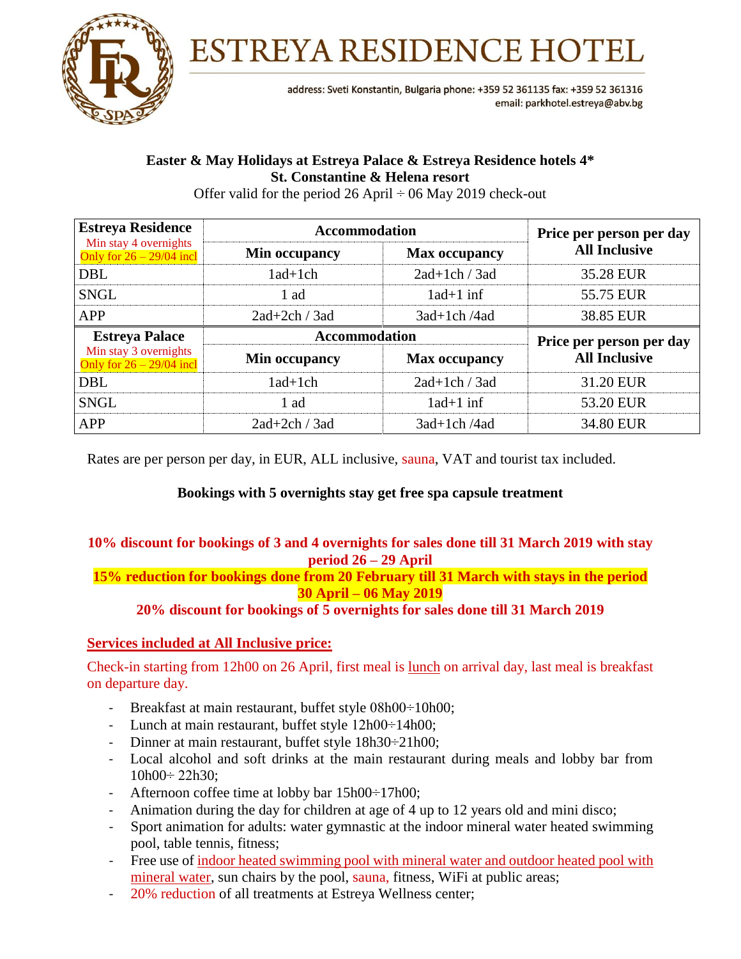

**ESTREYA RESIDENCE HOTEL** 

address: Sveti Konstantin, Bulgaria phone: +359 52 361135 fax: +359 52 361316 email: parkhotel.estreya@abv.bg

# **Easter & May Holidays at Estreya Palace & Estreya Residence hotels 4\* St. Constantine & Helena resort**

Offer valid for the period 26 April  $\div$  06 May 2019 check-out

| <b>Estreya Residence</b>                            | <b>Accommodation</b> |                      | Price per person per day                         |
|-----------------------------------------------------|----------------------|----------------------|--------------------------------------------------|
| Min stay 4 overnights<br>Only for $26 - 29/04$ incl | Min occupancy        | <b>Max occupancy</b> | <b>All Inclusive</b>                             |
| DBL                                                 | $1ad+1ch$            | $2ad+1ch / 3ad$      | 35.28 EUR                                        |
| <b>SNGL</b>                                         | 1 ad                 | $1ad+1$ inf          | 55.75 EUR                                        |
| <b>APP</b>                                          | $2ad+2ch / 3ad$      | 3ad+1ch/4ad          | 38.85 EUR                                        |
|                                                     |                      |                      |                                                  |
| <b>Estreya Palace</b>                               | <b>Accommodation</b> |                      |                                                  |
| Min stay 3 overnights<br>Only for $26 - 29/04$ incl | Min occupancy        | <b>Max occupancy</b> | Price per person per day<br><b>All Inclusive</b> |
| <b>DBL</b>                                          | $1ad+1ch$            | $2ad+1ch / 3ad$      | 31.20 EUR                                        |
| <b>SNGL</b>                                         | 1 ad                 | $1ad+1$ inf          | 53.20 EUR                                        |

Rates are per person per day, in EUR, ALL inclusive, sauna, VAT and tourist tax included.

## **Bookings with 5 overnights stay get free spa capsule treatment**

### **10% discount for bookings of 3 and 4 overnights for sales done till 31 March 2019 with stay period 26 – 29 April**

**15% reduction for bookings done from 20 February till 31 March with stays in the period 30 April – 06 May 2019**

**20% discount for bookings of 5 overnights for sales done till 31 March 2019**

### **Services included at All Inclusive price:**

Check-in starting from 12h00 on 26 April, first meal is lunch on arrival day, last meal is breakfast on departure day.

- Breakfast at main restaurant, buffet style 08h00÷10h00;
- Lunch at main restaurant, buffet style 12h00÷14h00;
- Dinner at main restaurant, buffet style 18h30÷21h00;
- Local alcohol and soft drinks at the main restaurant during meals and lobby bar from  $10h00 \div 22h30$ ;
- Afternoon coffee time at lobby bar 15h00÷17h00;
- Animation during the day for children at age of 4 up to 12 years old and mini disco;
- Sport animation for adults: water gymnastic at the indoor mineral water heated swimming pool, table tennis, fitness;
- Free use of indoor heated swimming pool with mineral water and outdoor heated pool with mineral water, sun chairs by the pool, sauna, fitness, WiFi at public areas;
- 20% reduction of all treatments at Estreya Wellness center;